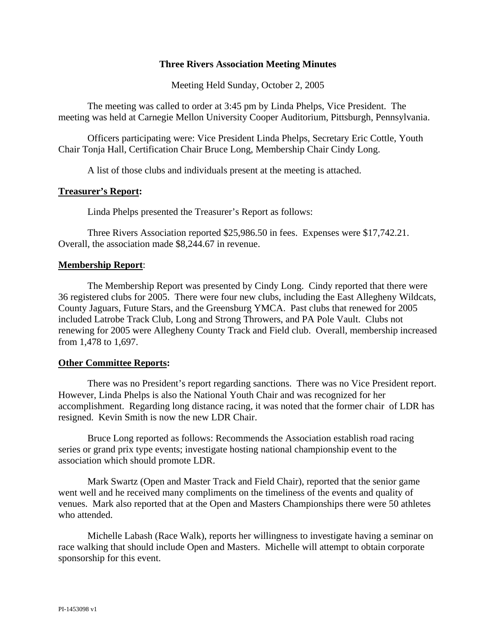## **Three Rivers Association Meeting Minutes**

Meeting Held Sunday, October 2, 2005

 The meeting was called to order at 3:45 pm by Linda Phelps, Vice President. The meeting was held at Carnegie Mellon University Cooper Auditorium, Pittsburgh, Pennsylvania.

 Officers participating were: Vice President Linda Phelps, Secretary Eric Cottle, Youth Chair Tonja Hall, Certification Chair Bruce Long, Membership Chair Cindy Long.

A list of those clubs and individuals present at the meeting is attached.

## **Treasurer's Report:**

Linda Phelps presented the Treasurer's Report as follows:

 Three Rivers Association reported \$25,986.50 in fees. Expenses were \$17,742.21. Overall, the association made \$8,244.67 in revenue.

#### **Membership Report**:

 The Membership Report was presented by Cindy Long. Cindy reported that there were 36 registered clubs for 2005. There were four new clubs, including the East Allegheny Wildcats, County Jaguars, Future Stars, and the Greensburg YMCA. Past clubs that renewed for 2005 included Latrobe Track Club, Long and Strong Throwers, and PA Pole Vault. Clubs not renewing for 2005 were Allegheny County Track and Field club. Overall, membership increased from 1,478 to 1,697.

## **Other Committee Reports:**

 There was no President's report regarding sanctions. There was no Vice President report. However, Linda Phelps is also the National Youth Chair and was recognized for her accomplishment. Regarding long distance racing, it was noted that the former chair of LDR has resigned. Kevin Smith is now the new LDR Chair.

 Bruce Long reported as follows: Recommends the Association establish road racing series or grand prix type events; investigate hosting national championship event to the association which should promote LDR.

 Mark Swartz (Open and Master Track and Field Chair), reported that the senior game went well and he received many compliments on the timeliness of the events and quality of venues. Mark also reported that at the Open and Masters Championships there were 50 athletes who attended.

 Michelle Labash (Race Walk), reports her willingness to investigate having a seminar on race walking that should include Open and Masters. Michelle will attempt to obtain corporate sponsorship for this event.